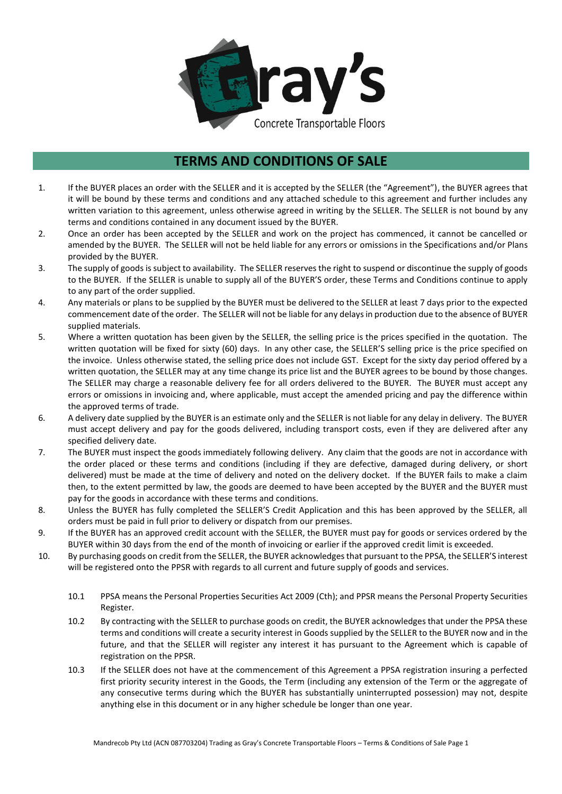

## **TERMS AND CONDITIONS OF SALE**

- 1. If the BUYER places an order with the SELLER and it is accepted by the SELLER (the "Agreement"), the BUYER agrees that it will be bound by these terms and conditions and any attached schedule to this agreement and further includes any written variation to this agreement, unless otherwise agreed in writing by the SELLER. The SELLER is not bound by any terms and conditions contained in any document issued by the BUYER.
- 2. Once an order has been accepted by the SELLER and work on the project has commenced, it cannot be cancelled or amended by the BUYER. The SELLER will not be held liable for any errors or omissions in the Specifications and/or Plans provided by the BUYER.
- 3. The supply of goods is subject to availability. The SELLER reserves the right to suspend or discontinue the supply of goods to the BUYER. If the SELLER is unable to supply all of the BUYER'S order, these Terms and Conditions continue to apply to any part of the order supplied.
- 4. Any materials or plans to be supplied by the BUYER must be delivered to the SELLER at least 7 days prior to the expected commencement date of the order. The SELLER will not be liable for any delays in production due to the absence of BUYER supplied materials.
- 5. Where a written quotation has been given by the SELLER, the selling price is the prices specified in the quotation. The written quotation will be fixed for sixty (60) days. In any other case, the SELLER'S selling price is the price specified on the invoice. Unless otherwise stated, the selling price does not include GST. Except for the sixty day period offered by a written quotation, the SELLER may at any time change its price list and the BUYER agrees to be bound by those changes. The SELLER may charge a reasonable delivery fee for all orders delivered to the BUYER. The BUYER must accept any errors or omissions in invoicing and, where applicable, must accept the amended pricing and pay the difference within the approved terms of trade.
- 6. A delivery date supplied by the BUYER is an estimate only and the SELLER is not liable for any delay in delivery. The BUYER must accept delivery and pay for the goods delivered, including transport costs, even if they are delivered after any specified delivery date.
- 7. The BUYER must inspect the goods immediately following delivery. Any claim that the goods are not in accordance with the order placed or these terms and conditions (including if they are defective, damaged during delivery, or short delivered) must be made at the time of delivery and noted on the delivery docket. If the BUYER fails to make a claim then, to the extent permitted by law, the goods are deemed to have been accepted by the BUYER and the BUYER must pay for the goods in accordance with these terms and conditions.
- 8. Unless the BUYER has fully completed the SELLER'S Credit Application and this has been approved by the SELLER, all orders must be paid in full prior to delivery or dispatch from our premises.
- 9. If the BUYER has an approved credit account with the SELLER, the BUYER must pay for goods or services ordered by the BUYER within 30 days from the end of the month of invoicing or earlier if the approved credit limit is exceeded.
- 10. By purchasing goods on credit from the SELLER, the BUYER acknowledges that pursuant to the PPSA, the SELLER'S interest will be registered onto the PPSR with regards to all current and future supply of goods and services.
	- 10.1 PPSA means the Personal Properties Securities Act 2009 (Cth); and PPSR means the Personal Property Securities Register.
	- 10.2 By contracting with the SELLER to purchase goods on credit, the BUYER acknowledges that under the PPSA these terms and conditions will create a security interest in Goods supplied by the SELLER to the BUYER now and in the future, and that the SELLER will register any interest it has pursuant to the Agreement which is capable of registration on the PPSR.
	- 10.3 If the SELLER does not have at the commencement of this Agreement a PPSA registration insuring a perfected first priority security interest in the Goods, the Term (including any extension of the Term or the aggregate of any consecutive terms during which the BUYER has substantially uninterrupted possession) may not, despite anything else in this document or in any higher schedule be longer than one year.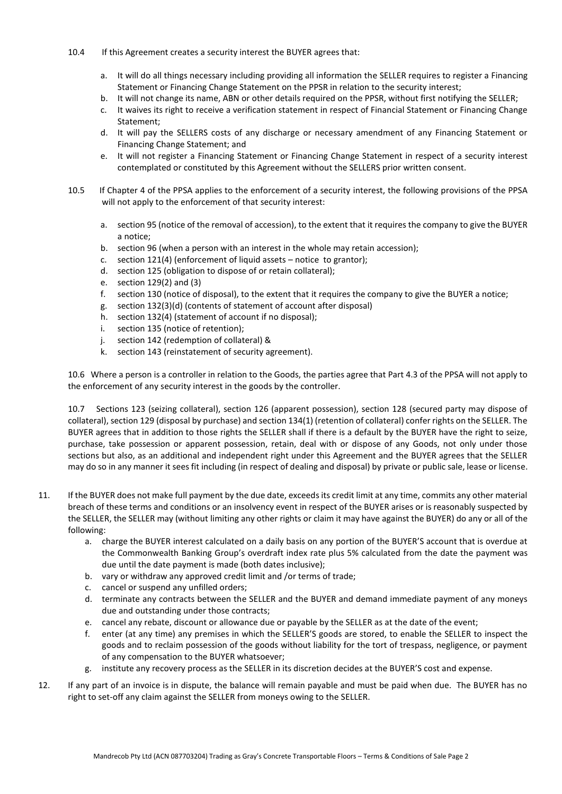- 10.4 If this Agreement creates a security interest the BUYER agrees that:
	- a. It will do all things necessary including providing all information the SELLER requires to register a Financing Statement or Financing Change Statement on the PPSR in relation to the security interest;
	- b. It will not change its name, ABN or other details required on the PPSR, without first notifying the SELLER;
	- c. It waives its right to receive a verification statement in respect of Financial Statement or Financing Change Statement;
	- d. It will pay the SELLERS costs of any discharge or necessary amendment of any Financing Statement or Financing Change Statement; and
	- e. It will not register a Financing Statement or Financing Change Statement in respect of a security interest contemplated or constituted by this Agreement without the SELLERS prior written consent.
- 10.5 If Chapter 4 of the PPSA applies to the enforcement of a security interest, the following provisions of the PPSA will not apply to the enforcement of that security interest:
	- a. section 95 (notice of the removal of accession), to the extent that it requires the company to give the BUYER a notice;
	- b. section 96 (when a person with an interest in the whole may retain accession);
	- c. section 121(4) (enforcement of liquid assets notice to grantor);
	- d. section 125 (obligation to dispose of or retain collateral);
	- e. section 129(2) and (3)
	- f. section 130 (notice of disposal), to the extent that it requires the company to give the BUYER a notice;
	- g. section 132(3)(d) (contents of statement of account after disposal)
	- h. section 132(4) (statement of account if no disposal);
	- i. section 135 (notice of retention);
	- j. section 142 (redemption of collateral) &
	- k. section 143 (reinstatement of security agreement).

10.6 Where a person is a controller in relation to the Goods, the parties agree that Part 4.3 of the PPSA will not apply to the enforcement of any security interest in the goods by the controller.

10.7 Sections 123 (seizing collateral), section 126 (apparent possession), section 128 (secured party may dispose of collateral), section 129 (disposal by purchase) and section 134(1) (retention of collateral) confer rights on the SELLER. The BUYER agrees that in addition to those rights the SELLER shall if there is a default by the BUYER have the right to seize, purchase, take possession or apparent possession, retain, deal with or dispose of any Goods, not only under those sections but also, as an additional and independent right under this Agreement and the BUYER agrees that the SELLER may do so in any manner it sees fit including (in respect of dealing and disposal) by private or public sale, lease or license.

- 11. If the BUYER does not make full payment by the due date, exceeds its credit limit at any time, commits any other material breach of these terms and conditions or an insolvency event in respect of the BUYER arises or is reasonably suspected by the SELLER, the SELLER may (without limiting any other rights or claim it may have against the BUYER) do any or all of the following:
	- a. charge the BUYER interest calculated on a daily basis on any portion of the BUYER'S account that is overdue at the Commonwealth Banking Group's overdraft index rate plus 5% calculated from the date the payment was due until the date payment is made (both dates inclusive);
	- b. vary or withdraw any approved credit limit and /or terms of trade;
	- c. cancel or suspend any unfilled orders;
	- d. terminate any contracts between the SELLER and the BUYER and demand immediate payment of any moneys due and outstanding under those contracts;
	- e. cancel any rebate, discount or allowance due or payable by the SELLER as at the date of the event;
	- f. enter (at any time) any premises in which the SELLER'S goods are stored, to enable the SELLER to inspect the goods and to reclaim possession of the goods without liability for the tort of trespass, negligence, or payment of any compensation to the BUYER whatsoever;
	- g. institute any recovery process as the SELLER in its discretion decides at the BUYER'S cost and expense.
- 12. If any part of an invoice is in dispute, the balance will remain payable and must be paid when due. The BUYER has no right to set-off any claim against the SELLER from moneys owing to the SELLER.